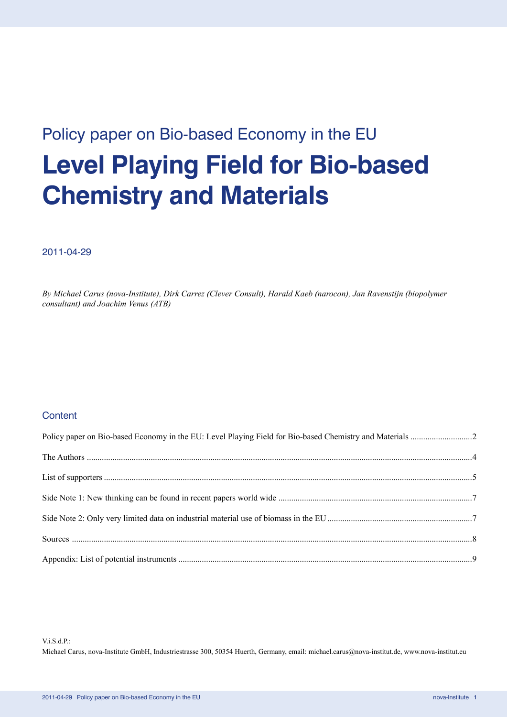# Policy paper on Bio-based Economy in the EU **Level Playing Field for Bio-based Chemistry and Materials**

## 2011-04-29

*By Michael Carus (nova-Institute), Dirk Carrez (Clever Consult), Harald Kaeb (narocon), Jan Ravenstijn (biopolymer consultant) and Joachim Venus (ATB)*

## **Content**

### $V$ i S d P·

Michael Carus, nova-Institute GmbH, Industriestrasse 300, 50354 Huerth, Germany, email: michael.carus@nova-institut.de, www.nova-institut.eu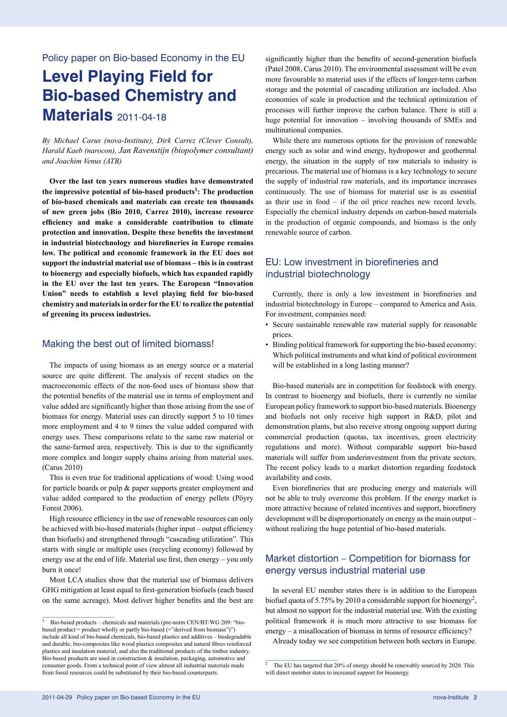Policy paper on Bio-based Economy in the EU

## **Level Playing Field for Bio-based Chemistry and Materials** 2011-04-18

*By Michael Carus (nova-Institute), Dirk Carrez (Clever Consult), Harald Kaeb (narocon), Jan Ravenstijn (biopolymer consultant) and Joachim Venus (ATB)*

**Over the last ten years numerous studies have demonstrated the impressive potential of bio-based products<sup>1</sup> : The production of bio-based chemicals and materials can create ten thousands of new green jobs (Bio 2010, Carrez 2010), increase resource efficiency and make a considerable contribution to climate protection and innovation. Despite these benefits the investment in industrial biotechnology and biorefineries in Europe remains low. The political and economic framework in the EU does not support the industrial material use of biomass – this is in contrast to bioenergy and especially biofuels, which has expanded rapidly in the EU over the last ten years. The European "Innovation Union" needs to establish a level playing field for bio-based chemistry and materials in order for the EU to realize the potential of greening its process industries.**

#### Making the best out of limited biomass!

The impacts of using biomass as an energy source or a material source are quite different. The analysis of recent studies on the macroeconomic effects of the non-food uses of biomass show that the potential benefits of the material use in terms of employment and value added are significantly higher than those arising from the use of biomass for energy. Material uses can directly support 5 to 10 times more employment and 4 to 9 times the value added compared with energy uses. These comparisons relate to the same raw material or the same-farmed area, respectively. This is due to the significantly more complex and longer supply chains arising from material uses. (Carus 2010)

This is even true for traditional applications of wood: Using wood for particle boards or pulp  $\&$  paper supports greater employment and value added compared to the production of energy pellets (Pöyry Forest 2006).

High resource efficiency in the use of renewable resources can only be achieved with bio-based materials (higher input – output efficiency than biofuels) and strengthened through "cascading utilization". This starts with single or multiple uses (recycling economy) followed by energy use at the end of life. Material use first, then energy – you only burn it once!

Most LCA studies show that the material use of biomass delivers GHG mitigation at least equal to first-generation biofuels (each based on the same acreage). Most deliver higher benefits and the best are significantly higher than the benefits of second-generation biofuels (Patel 2008, Carus 2010). The environmental assessment will be even more favourable to material uses if the effects of longer-term carbon storage and the potential of cascading utilization are included. Also economies of scale in production and the technical optimization of processes will further improve the carbon balance. There is still a huge potential for innovation – involving thousands of SMEs and multinational companies.

While there are numerous options for the provision of renewable energy such as solar and wind energy, hydropower and geothermal energy, the situation in the supply of raw materials to industry is precarious. The material use of biomass is a key technology to secure the supply of industrial raw materials, and its importance increases continuously. The use of biomass for material use is as essential as their use in food – if the oil price reaches new record levels. Especially the chemical industry depends on carbon-based materials in the production of organic compounds, and biomass is the only renewable source of carbon.

## EU: Low investment in biorefineries and industrial biotechnology

Currently, there is only a low investment in biorefineries and industrial biotechnology in Europe – compared to America and Asia. For investment, companies need:

- Secure sustainable renewable raw material supply for reasonable prices.
- Binding political framework for supporting the bio-based economy: Which political instruments and what kind of political environment will be established in a long lasting manner?

Bio-based materials are in competition for feedstock with energy. In contrast to bioenergy and biofuels, there is currently no similar European policy framework to support bio-based materials. Bioenergy and biofuels not only receive high support in R&D, pilot and demonstration plants, but also receive strong ongoing support during commercial production (quotas, tax incentives, green electricity regulations and more). Without comparable support bio-based materials will suffer from underinvestment from the private sectors. The recent policy leads to a market distortion regarding feedstock availability and costs.

Even biorefineries that are producing energy and materials will not be able to truly overcome this problem. If the energy market is more attractive because of related incentives and support, biorefinery development will be disproportionately on energy as the main output – without realizing the huge potential of bio-based materials.

## Market distortion – Competition for biomass for energy versus industrial material use

In several EU member states there is in addition to the European biofuel quota of 5.75% by 2010 a considerable support for bioenergy<sup>2</sup>, but almost no support for the industrial material use. With the existing political framework it is much more attractive to use biomass for energy – a misallocation of biomass in terms of resource efficiency?

Already today we see competition between both sectors in Europe.

<sup>1</sup> Bio-based products – chemicals and materials (pre-norm CEN/BT/WG 209: "biobased product = product wholly or partly bio-based (="derived from biomass")") include all kind of bio-based chemicals, bio-based plastics and additives – biodegradable and durable, bio-composites like wood plastics composites and natural fibres reinforced plastics and insulation material, and also the traditional products of the timber industry. Bio-based products are used in construction & insulation, packaging, automotive and consumer goods. From a technical point of view almost all industrial materials made from fossil resources could be substituted by their bio-based counterparts.

<sup>2</sup> The EU has targeted that 20% of energy should be renewably sourced by 2020. This will direct member states to increased support for bioenergy.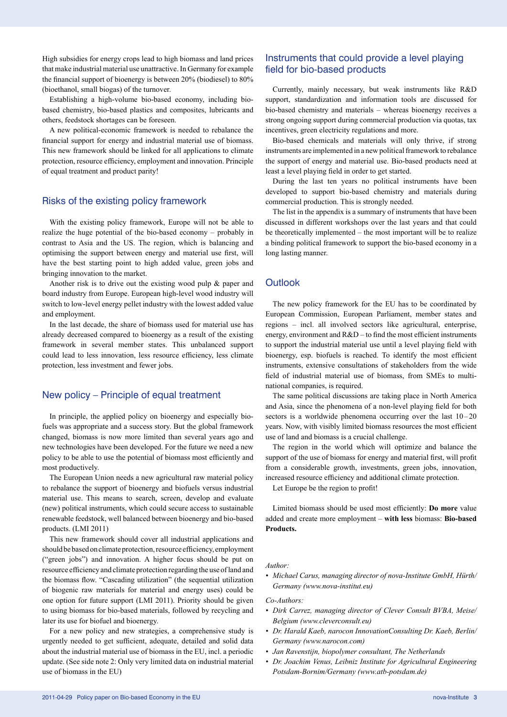High subsidies for energy crops lead to high biomass and land prices that make industrial material use unattractive. In Germany for example the financial support of bioenergy is between 20% (biodiesel) to 80% (bioethanol, small biogas) of the turnover.

Establishing a high-volume bio-based economy, including biobased chemistry, bio-based plastics and composites, lubricants and others, feedstock shortages can be foreseen.

A new political-economic framework is needed to rebalance the financial support for energy and industrial material use of biomass. This new framework should be linked for all applications to climate protection, resource efficiency, employment and innovation. Principle of equal treatment and product parity!

## Risks of the existing policy framework

With the existing policy framework, Europe will not be able to realize the huge potential of the bio-based economy – probably in contrast to Asia and the US. The region, which is balancing and optimising the support between energy and material use first, will have the best starting point to high added value, green jobs and bringing innovation to the market.

Another risk is to drive out the existing wood pulp & paper and board industry from Europe. European high-level wood industry will switch to low-level energy pellet industry with the lowest added value and employment.

In the last decade, the share of biomass used for material use has already decreased compared to bioenergy as a result of the existing framework in several member states. This unbalanced support could lead to less innovation, less resource efficiency, less climate protection, less investment and fewer jobs.

## New policy – Principle of equal treatment

In principle, the applied policy on bioenergy and especially biofuels was appropriate and a success story. But the global framework changed, biomass is now more limited than several years ago and new technologies have been developed. For the future we need a new policy to be able to use the potential of biomass most efficiently and most productively.

The European Union needs a new agricultural raw material policy to rebalance the support of bioenergy and biofuels versus industrial material use. This means to search, screen, develop and evaluate (new) political instruments, which could secure access to sustainable renewable feedstock, well balanced between bioenergy and bio-based products. (LMI 2011)

This new framework should cover all industrial applications and should be based on climate protection, resource efficiency, employment ("green jobs") and innovation. A higher focus should be put on resource efficiency and climate protection regarding the use of land and the biomass flow. "Cascading utilization" (the sequential utilization of biogenic raw materials for material and energy uses) could be one option for future support (LMI 2011). Priority should be given to using biomass for bio-based materials, followed by recycling and later its use for biofuel and bioenergy.

For a new policy and new strategies, a comprehensive study is urgently needed to get sufficient, adequate, detailed and solid data about the industrial material use of biomass in the EU, incl. a periodic update. (See side note 2: Only very limited data on industrial material use of biomass in the EU)

## Instruments that could provide a level playing field for bio-based products

Currently, mainly necessary, but weak instruments like R&D support, standardization and information tools are discussed for bio-based chemistry and materials – whereas bioenergy receives a strong ongoing support during commercial production via quotas, tax incentives, green electricity regulations and more.

Bio-based chemicals and materials will only thrive, if strong instruments are implemented in a new political framework to rebalance the support of energy and material use. Bio-based products need at least a level playing field in order to get started.

During the last ten years no political instruments have been developed to support bio-based chemistry and materials during commercial production. This is strongly needed.

The list in the appendix is a summary of instruments that have been discussed in different workshops over the last years and that could be theoretically implemented – the most important will be to realize a binding political framework to support the bio-based economy in a long lasting manner.

## **Outlook**

The new policy framework for the EU has to be coordinated by European Commission, European Parliament, member states and regions – incl. all involved sectors like agricultural, enterprise, energy, environment and  $R&D$  – to find the most efficient instruments to support the industrial material use until a level playing field with bioenergy, esp. biofuels is reached. To identify the most efficient instruments, extensive consultations of stakeholders from the wide field of industrial material use of biomass, from SMEs to multinational companies, is required.

The same political discussions are taking place in North America and Asia, since the phenomena of a non-level playing field for both sectors is a worldwide phenomena occurring over the last 10–20 years. Now, with visibly limited biomass resources the most efficient use of land and biomass is a crucial challenge.

The region in the world which will optimize and balance the support of the use of biomass for energy and material first, will profit from a considerable growth, investments, green jobs, innovation, increased resource efficiency and additional climate protection.

Let Europe be the region to profit!

Limited biomass should be used most efficiently: **Do more** value added and create more employment – **with less** biomass: **Bio-based Products.**

#### *Author:*

*• Michael Carus, managing director of nova-Institute GmbH, Hürth/ Germany (www.nova-institut.eu)*

*Co-Authors:* 

- *• Dirk Carrez, managing director of Clever Consult BVBA, Meise/ Belgium (www.cleverconsult.eu)*
- *• Dr. Harald Kaeb, narocon InnovationConsulting Dr. Kaeb, Berlin/ Germany (www.narocon.com)*
- *• Jan Ravenstijn, biopolymer consultant, The Netherlands*
- *• Dr. Joachim Venus, Leibniz Institute for Agricultural Engineering Potsdam-Bornim/Germany (www.atb-potsdam.de)*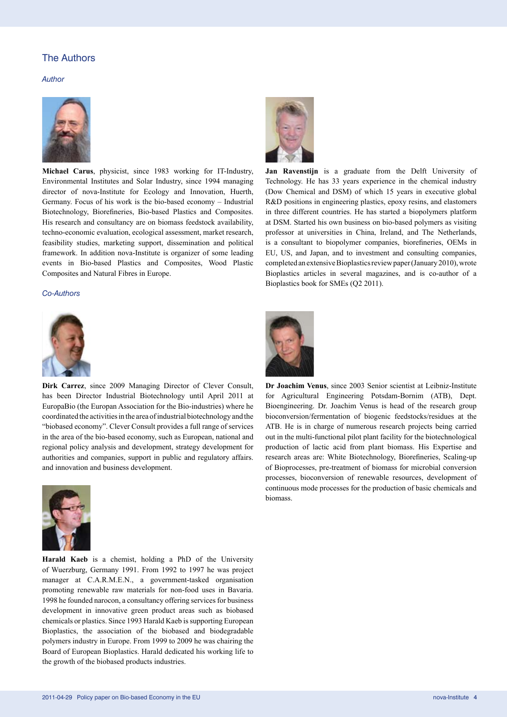## The Authors

*Author*



**Michael Carus**, physicist, since 1983 working for IT-Industry, Environmental Institutes and Solar Industry, since 1994 managing director of nova-Institute for Ecology and Innovation, Huerth, Germany. Focus of his work is the bio-based economy – Industrial Biotechnology, Biorefineries, Bio-based Plastics and Composites. His research and consultancy are on biomass feedstock availability, techno-economic evaluation, ecological assessment, market research, feasibility studies, marketing support, dissemination and political framework. In addition nova-Institute is organizer of some leading events in Bio-based Plastics and Composites, Wood Plastic Composites and Natural Fibres in Europe.

#### *Co-Authors*



**Dirk Carrez**, since 2009 Managing Director of Clever Consult, has been Director Industrial Biotechnology until April 2011 at EuropaBio (the Europan Association for the Bio-industries) where he coordinated the activities in the area of industrial biotechnology and the "biobased economy". Clever Consult provides a full range of services in the area of the bio-based economy, such as European, national and regional policy analysis and development, strategy development for authorities and companies, support in public and regulatory affairs. and innovation and business development.



**Harald Kaeb** is a chemist, holding a PhD of the University of Wuerzburg, Germany 1991. From 1992 to 1997 he was project manager at C.A.R.M.E.N., a government-tasked organisation promoting renewable raw materials for non-food uses in Bavaria. 1998 he founded narocon, a consultancy offering services for business development in innovative green product areas such as biobased chemicals or plastics. Since 1993 Harald Kaeb is supporting European Bioplastics, the association of the biobased and biodegradable polymers industry in Europe. From 1999 to 2009 he was chairing the Board of European Bioplastics. Harald dedicated his working life to the growth of the biobased products industries.



**Jan Ravenstijn** is a graduate from the Delft University of Technology. He has 33 years experience in the chemical industry (Dow Chemical and DSM) of which 15 years in executive global R&D positions in engineering plastics, epoxy resins, and elastomers in three different countries. He has started a biopolymers platform at DSM. Started his own business on bio-based polymers as visiting professor at universities in China, Ireland, and The Netherlands, is a consultant to biopolymer companies, biorefineries, OEMs in EU, US, and Japan, and to investment and consulting companies, completed an extensive Bioplastics review paper (January 2010), wrote Bioplastics articles in several magazines, and is co-author of a Bioplastics book for SMEs (Q2 2011).



**Dr Joachim Venus**, since 2003 Senior scientist at Leibniz-Institute for Agricultural Engineering Potsdam-Bornim (ATB), Dept. Bioengineering. Dr. Joachim Venus is head of the research group bioconversion/fermentation of biogenic feedstocks/residues at the ATB. He is in charge of numerous research projects being carried out in the multi-functional pilot plant facility for the biotechnological production of lactic acid from plant biomass. His Expertise and research areas are: White Biotechnology, Biorefineries, Scaling-up of Bioprocesses, pre-treatment of biomass for microbial conversion processes, bioconversion of renewable resources, development of continuous mode processes for the production of basic chemicals and biomass.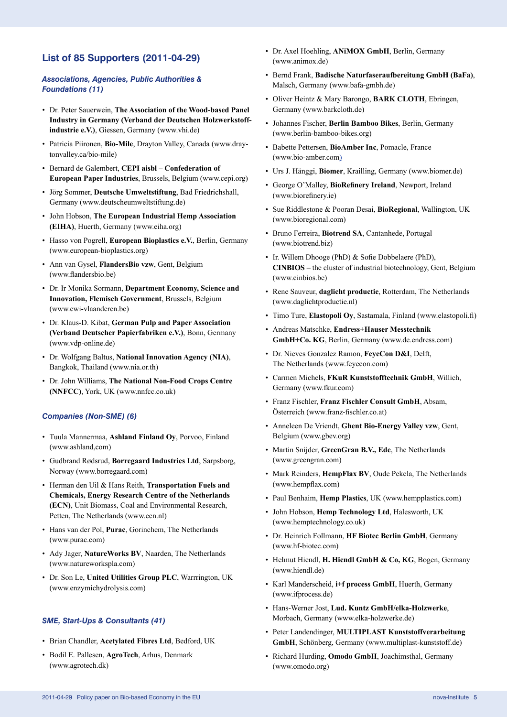## **List of 85 Supporters (2011-04-29)**

#### *Associations, Agencies, Public Authorities & Foundations (11)*

- Dr. Peter Sauerwein, **The Association of the Wood-based Panel Industry in Germany (Verband der Deutschen Holzwerkstoffindustrie e.V.)**, Giessen, Germany (www.vhi.de)
- Patricia Piironen, **Bio-Mile**, Drayton Valley, Canada (www.draytonvalley.ca/bio-mile)
- Bernard de Galembert, **CEPI aisbl Confederation of European Paper Industries**, Brussels, Belgium (www.cepi.org)
- Jörg Sommer, **Deutsche Umweltstiftung**, Bad Friedrichshall, Germany (www.deutscheumweltstiftung.de)
- John Hobson, **The European Industrial Hemp Association (EIHA)**, Huerth, Germany (www.eiha.org)
- Hasso von Pogrell, **European Bioplastics e.V.**, Berlin, Germany (www.european-bioplastics.org)
- Ann van Gysel, **FlandersBio vzw**, Gent, Belgium (www.flandersbio.be)
- Dr. Ir Monika Sormann, **Department Economy, Science and Innovation, Flemisch Government**, Brussels, Belgium (www.ewi-vlaanderen.be)
- Dr. Klaus-D. Kibat, **German Pulp and Paper Association (Verband Deutscher Papierfabriken e.V.)**, Bonn, Germany (www.vdp-online.de)
- Dr. Wolfgang Baltus, **National Innovation Agency (NIA)**, Bangkok, Thailand (www.nia.or.th)
- Dr. John Williams, **The National Non-Food Crops Centre (NNFCC)**, York, UK (www.nnfcc.co.uk)

#### *Companies (Non-SME) (6)*

- Tuula Mannermaa, **Ashland Finland Oy**, Porvoo, Finland (www.ashland,com)
- Gudbrand Rødsrud, **Borregaard Industries Ltd**, Sarpsborg, Norway (www.borregaard.com)
- Herman den Uil & Hans Reith, **Transportation Fuels and Chemicals, Energy Research Centre of the Netherlands (ECN)**, Unit Biomass, Coal and Environmental Research, Petten, The Netherlands (www.ecn.nl)
- Hans van der Pol, **Purac**, Gorinchem, The Netherlands (www.purac.com)
- Ady Jager, **NatureWorks BV**, Naarden, The Netherlands (www.natureworkspla.com)
- Dr. Son Le, **United Utilities Group PLC**, Warrrington, UK (www.enzymichydrolysis.com)

#### *SME, Start-Ups & Consultants (41)*

- Brian Chandler, **Acetylated Fibres Ltd**, Bedford, UK
- Bodil E. Pallesen, **AgroTech**, Arhus, Denmark (www.agrotech.dk)
- Dr. Axel Hoehling, **ANiMOX GmbH**, Berlin, Germany (www.animox.de)
- Bernd Frank, **Badische Naturfaseraufbereitung GmbH (BaFa)**, Malsch, Germany (www.bafa-gmbh.de)
- Oliver Heintz & Mary Barongo, **BARK CLOTH**, Ebringen, Germany (www.barkcloth.de)
- Johannes Fischer, **Berlin Bamboo Bikes**, Berlin, Germany (www.berlin-bamboo-bikes.org)
- Babette Pettersen, **BioAmber Inc**, Pomacle, France (www.bio-amber.com)
- Urs J. Hänggi, **Biomer**, Krailling, Germany (www.biomer.de)
- George O'Malley, **BioRefinery Ireland**, Newport, Ireland (www.biorefinery.ie)
- Sue Riddlestone & Pooran Desai, **BioRegional**, Wallington, UK (www.bioregional.com)
- Bruno Ferreira, **Biotrend SA**, Cantanhede, Portugal (www.biotrend.biz)
- Ir. Willem Dhooge (PhD) & Sofie Dobbelaere (PhD), **CINBIOS** – the cluster of industrial biotechnology, Gent, Belgium (www.cinbios.be)
- Rene Sauveur, **daglicht productie**, Rotterdam, The Netherlands (www.daglichtproductie.nl)
- Timo Ture, **Elastopoli Oy**, Sastamala, Finland (www.elastopoli.fi)
- Andreas Matschke, **Endress+Hauser Messtechnik GmbH+Co. KG**, Berlin, Germany (www.de.endress.com)
- Dr. Nieves Gonzalez Ramon, **FeyeCon D&I**, Delft, The Netherlands (www.feyecon.com)
- Carmen Michels, **FKuR Kunststofftechnik GmbH**, Willich, Germany (www.fkur.com)
- Franz Fischler, **Franz Fischler Consult GmbH**, Absam, Österreich (www.franz-fischler.co.at)
- Anneleen De Vriendt, **Ghent Bio-Energy Valley vzw**, Gent, Belgium (www.gbev.org)
- Martin Snijder, **GreenGran B.V., Ede**, The Netherlands (www.greengran.com)
- Mark Reinders, **HempFlax BV**, Oude Pekela, The Netherlands (www.hempflax.com)
- Paul Benhaim, **Hemp Plastics**, UK (www.hempplastics.com)
- John Hobson, **Hemp Technology Ltd**, Halesworth, UK (www.hemptechnology.co.uk)
- Dr. Heinrich Follmann, **HF Biotec Berlin GmbH**, Germany (www.hf-biotec.com)
- Helmut Hiendl, **H. Hiendl GmbH & Co, KG**, Bogen, Germany (www.hiendl.de)
- Karl Manderscheid, **i+f process GmbH**, Huerth, Germany (www.ifprocess.de)
- Hans-Werner Jost, **Lud. Kuntz GmbH/elka-Holzwerke**, Morbach, Germany (www.elka-holzwerke.de)
- Peter Landendinger, **MULTIPLAST Kunststoffverarbeitung GmbH**, Schönberg, Germany (www.multiplast-kunststoff.de)
- Richard Hurding, **Omodo GmbH**, Joachimsthal, Germany (www.omodo.org)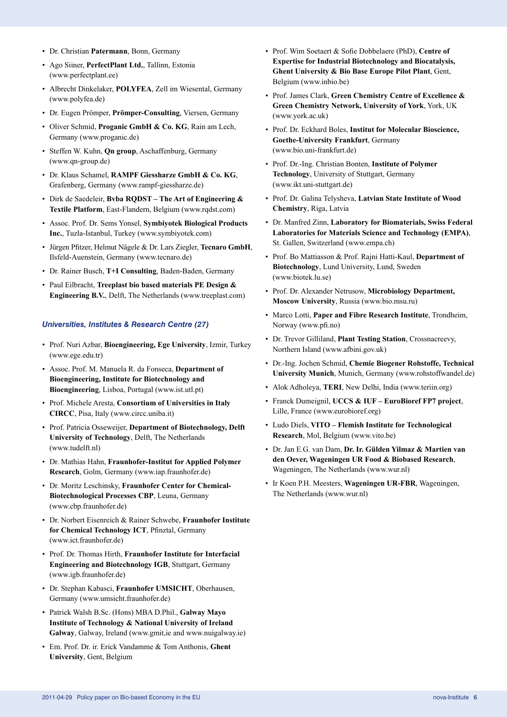- Dr. Christian **Patermann**, Bonn, Germany
- Ago Siiner, **PerfectPlant Ltd.**, Tallinn, Estonia (www.perfectplant.ee)
- Albrecht Dinkelaker, **POLYFEA**, Zell im Wiesental, Germany (www.polyfea.de)
- Dr. Eugen Prömper, **Prömper-Consulting**, Viersen, Germany
- Oliver Schmid, **Proganic GmbH & Co. KG**, Rain am Lech, Germany (www.proganic.de)
- Steffen W. Kuhn, **Qn group**, Aschaffenburg, Germany (www.qn-group.de)
- Dr. Klaus Schamel, **RAMPF Giessharze GmbH & Co. KG**, Grafenberg, Germany (www.rampf-giessharze.de)
- Dirk de Saedeleir, **Bvba RQDST The Art of Engineering & Textile Platform**, East-Flandern, Belgium (www.rqdst.com)
- Assoc. Prof. Dr. Sems Yonsel, **Symbiyotek Biological Products Inc.**, Tuzla-Istanbul, Turkey (www.symbiyotek.com)
- Jürgen Pfitzer, Helmut Nägele & Dr. Lars Ziegler, **Tecnaro GmbH**, Ilsfeld-Auenstein, Germany (www.tecnaro.de)
- Dr. Rainer Busch, **T+I Consulting**, Baden-Baden, Germany
- Paul Eilbracht, **Treeplast bio based materials PE Design & Engineering B.V.**, Delft, The Netherlands (www.treeplast.com)

#### *Universities, Institutes & Research Centre (27)*

- Prof. Nuri Azbar, **Bioengineering, Ege University**, Izmir, Turkey (www.ege.edu.tr)
- Assoc. Prof. M. Manuela R. da Fonseca, **Department of Bioengineering, Institute for Biotechnology and Bioengineering**, Lisboa, Portugal (www.ist.utl.pt)
- Prof. Michele Aresta, **Consortium of Universities in Italy CIRCC**, Pisa, Italy (www.circc.uniba.it)
- Prof. Patricia Osseweijer, **Department of Biotechnology, Delft University of Technology**, Delft, The Netherlands (www.tudelft.nl)
- Dr. Mathias Hahn, **Fraunhofer-Institut for Applied Polymer Research**, Golm, Germany (www.iap.fraunhofer.de)
- Dr. Moritz Leschinsky, **Fraunhofer Center for Chemical-Biotechnological Processes CBP**, Leuna, Germany (www.cbp.fraunhofer.de)
- Dr. Norbert Eisenreich & Rainer Schwebe, **Fraunhofer Institute for Chemical Technology ICT**, Pfinztal, Germany (www.ict.fraunhofer.de)
- Prof. Dr. Thomas Hirth, **Fraunhofer Institute for Interfacial Engineering and Biotechnology IGB**, Stuttgart, Germany (www.igb.fraunhofer.de)
- Dr. Stephan Kabasci, **Fraunhofer UMSICHT**, Oberhausen, Germany (www.umsicht.fraunhofer.de)
- Patrick Walsh B.Sc. (Hons) MBA D.Phil., **Galway Mayo Institute of Technology & National University of Ireland Galway**, Galway, Ireland (www.gmit,ie and www.nuigalway.ie)
- Em. Prof. Dr. ir. Erick Vandamme & Tom Anthonis, **Ghent University**, Gent, Belgium
- Prof. Wim Soetaert & Sofie Dobbelaere (PhD), **Centre of Expertise for Industrial Biotechnology and Biocatalysis, Ghent University & Bio Base Europe Pilot Plant**, Gent, Belgium (www.inbio.be)
- Prof. James Clark, **Green Chemistry Centre of Excellence & Green Chemistry Network, University of York**, York, UK (www.york.ac.uk)
- Prof. Dr. Eckhard Boles, **Institut for Molecular Bioscience, Goethe-University Frankfurt**, Germany (www.bio.uni-frankfurt.de)
- Prof. Dr.-Ing. Christian Bonten, **Institute of Polymer Technology**, University of Stuttgart, Germany (www.ikt.uni-stuttgart.de)
- Prof. Dr. Galina Telysheva, **Latvian State Institute of Wood Chemistry**, Riga, Latvia
- Dr. Manfred Zinn, **Laboratory for Biomaterials, Swiss Federal Laboratories for Materials Science and Technology (EMPA)**, St. Gallen, Switzerland (www.empa.ch)
- Prof. Bo Mattiasson & Prof. Rajni Hatti-Kaul, **Department of Biotechnology**, Lund University, Lund, Sweden (www.biotek.lu.se)
- Prof. Dr. Alexander Netrusow, **Microbiology Department, Moscow University**, Russia (www.bio.msu.ru)
- Marco Lotti, **Paper and Fibre Research Institute**, Trondheim, Norway (www.pfi.no)
- Dr. Trevor Gilliland, **Plant Testing Station**, Crossnacreevy, Northern Island (www.afbini.gov.uk)
- Dr.-Ing. Jochen Schmid, **Chemie Biogener Rohstoffe, Technical University Munich**, Munich, Germany (www.rohstoffwandel.de)
- Alok Adholeya, **TERI**, New Delhi, India (www.teriin.org)
- Franck Dumeignil, **UCCS & IUF EuroBioref FP7 project**, Lille, France (www.eurobioref.org)
- Ludo Diels, **VITO Flemish Institute for Technological Research**, Mol, Belgium (www.vito.be)
- Dr. Jan E.G. van Dam, **Dr. Ir. Gülden Yilmaz & Martien van den Oever, Wageningen UR Food & Biobased Research**, Wageningen, The Netherlands (www.wur.nl)
- Ir Koen P.H. Meesters, **Wageningen UR-FBR**, Wageningen, The Netherlands (www.wur.nl)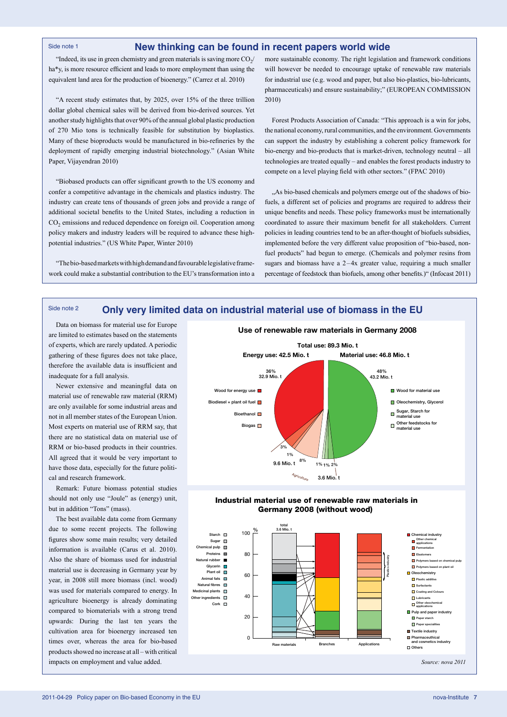#### Side note 1

#### **New thinking can be found in recent papers world wide**

"Indeed, its use in green chemistry and green materials is saving more  $CO<sub>2</sub>/$ ha\*y, is more resource efficient and leads to more employment than using the equivalent land area for the production of bioenergy." (Carrez et al. 2010)

"A recent study estimates that, by 2025, over 15% of the three trillion dollar global chemical sales will be derived from bio-derived sources. Yet another study highlights that over 90% of the annual global plastic production of 270 Mio tons is technically feasible for substitution by bioplastics. Many of these bioproducts would be manufactured in bio-refineries by the deployment of rapidly emerging industrial biotechnology." (Asian White Paper, Vijayendran 2010)

"Biobased products can offer significant growth to the US economy and confer a competitive advantage in the chemicals and plastics industry. The industry can create tens of thousands of green jobs and provide a range of additional societal benefits to the United States, including a reduction in CO<sub>2</sub> emissions and reduced dependence on foreign oil. Cooperation among policy makers and industry leaders will be required to advance these highpotential industries." (US White Paper, Winter 2010)

"The bio-based markets with high demand and favourable legislative framework could make a substantial contribution to the EU's transformation into a more sustainable economy. The right legislation and framework conditions will however be needed to encourage uptake of renewable raw materials for industrial use (e.g. wood and paper, but also bio-plastics, bio-lubricants, pharmaceuticals) and ensure sustainability;" (EUROPEAN COMMISSION 2010)

Forest Products Association of Canada: "This approach is a win for jobs, the national economy, rural communities, and the environment. Governments can support the industry by establishing a coherent policy framework for bio-energy and bio-products that is market-driven, technology neutral – all technologies are treated equally – and enables the forest products industry to compete on a level playing field with other sectors." (FPAC 2010)

"As bio-based chemicals and polymers emerge out of the shadows of biofuels, a different set of policies and programs are required to address their unique benefits and needs. These policy frameworks must be internationally coordinated to assure their maximum benefit for all stakeholders. Current policies in leading countries tend to be an after-thought of biofuels subsidies, implemented before the very different value proposition of "bio-based, nonfuel products" had begun to emerge. (Chemicals and polymer resins from sugars and biomass have a  $2-4x$  greater value, requiring a much smaller percentage of feedstock than biofuels, among other benefits.)" (Infocast 2011)

#### **Only very limited data on industrial material use of biomass in the EU** Side note 2

Data on biomass for material use for Europe are limited to estimates based on the statements of experts, which are rarely updated. A periodic gathering of these figures does not take place, therefore the available data is insufficient and inadequate for a full analysis.

Newer extensive and meaningful data on material use of renewable raw material (RRM) are only available for some industrial areas and not in all member states of the European Union. Most experts on material use of RRM say, that there are no statistical data on material use of RRM or bio-based products in their countries. All agreed that it would be very important to have those data, especially for the future political and research framework.

Remark: Future biomass potential studies should not only use "Joule" as (energy) unit, but in addition "Tons" (mass).

The best available data come from Germany due to some recent projects. The following figures show some main results; very detailed information is available (Carus et al. 2010). Also the share of biomass used for industrial material use is decreasing in Germany year by year, in 2008 still more biomass (incl. wood) was used for materials compared to energy. In agriculture bioenergy is already dominating compared to biomaterials with a strong trend upwards: During the last ten years the cultivation area for bioenergy increased ten times over, whereas the area for bio-based products showed no increase at all – with critical impacts on employment and value added.





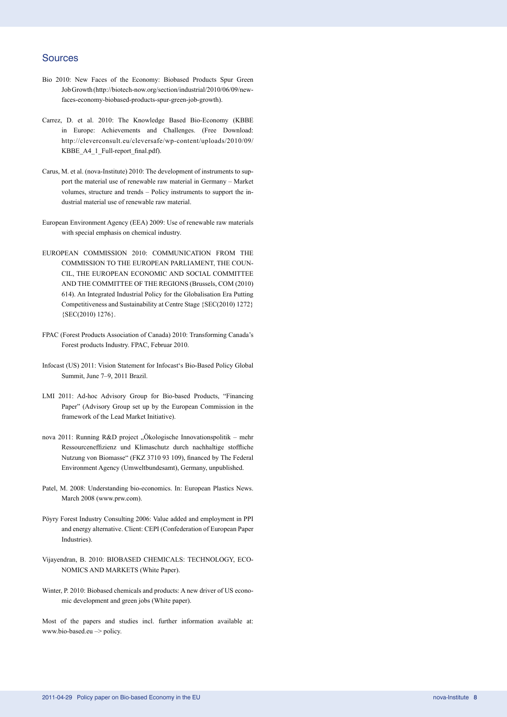## Sources

- Bio 2010: New Faces of the Economy: Biobased Products Spur Green Job Growth (http://biotech-now.org/section/industrial/2010/06/09/newfaces-economy-biobased-products-spur-green-job-growth).
- Carrez, D. et al. 2010: The Knowledge Based Bio-Economy (KBBE in Europe: Achievements and Challenges. (Free Download: http://cleverconsult.eu/cleversafe/wp-content/uploads/2010/09/ KBBE\_A4\_1\_Full-report\_final.pdf).
- Carus, M. et al. (nova-Institute) 2010: The development of instruments to support the material use of renewable raw material in Germany – Market volumes, structure and trends – Policy instruments to support the industrial material use of renewable raw material.
- European Environment Agency (EEA) 2009: Use of renewable raw materials with special emphasis on chemical industry.
- EUROPEAN COMMISSION 2010: COMMUNICATION FROM THE COMMISSION TO THE EUROPEAN PARLIAMENT, THE COUN-CIL, THE EUROPEAN ECONOMIC AND SOCIAL COMMITTEE AND THE COMMITTEE OF THE REGIONS (Brussels, COM (2010) 614). An Integrated Industrial Policy for the Globalisation Era Putting Competitiveness and Sustainability at Centre Stage {SEC(2010) 1272} {SEC(2010) 1276}.
- FPAC (Forest Products Association of Canada) 2010: Transforming Canada's Forest products Industry. FPAC, Februar 2010.
- Infocast (US) 2011: Vision Statement for Infocast's Bio-Based Policy Global Summit, June 7–9, 2011 Brazil.
- LMI 2011: Ad-hoc Advisory Group for Bio-based Products, "Financing Paper" (Advisory Group set up by the European Commission in the framework of the Lead Market Initiative).
- nova 2011: Running R&D project "Ökologische Innovationspolitik mehr Ressourceneffizienz und Klimaschutz durch nachhaltige stoffliche Nutzung von Biomasse" (FKZ 3710 93 109), financed by The Federal Environment Agency (Umweltbundesamt), Germany, unpublished.
- Patel, M. 2008: Understanding bio-economics. In: European Plastics News. March 2008 (www.prw.com).
- Pöyry Forest Industry Consulting 2006: Value added and employment in PPI and energy alternative. Client: CEPI (Confederation of European Paper Industries).
- Vijayendran, B. 2010: BIOBASED CHEMICALS: TECHNOLOGY, ECO-NOMICS AND MARKETS (White Paper).
- Winter, P. 2010: Biobased chemicals and products: A new driver of US economic development and green jobs (White paper).

Most of the papers and studies incl. further information available at: www.bio-based.eu –> policy.